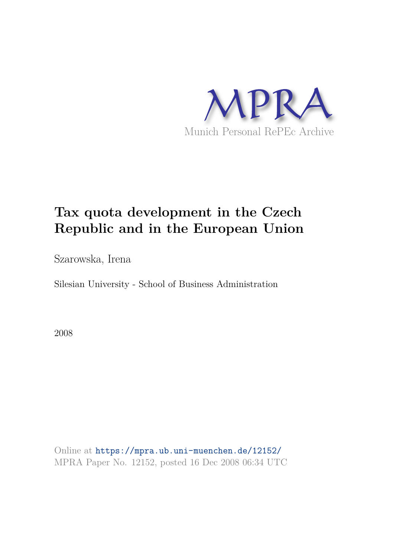

# **Tax quota development in the Czech Republic and in the European Union**

Szarowska, Irena

Silesian University - School of Business Administration

2008

Online at https://mpra.ub.uni-muenchen.de/12152/ MPRA Paper No. 12152, posted 16 Dec 2008 06:34 UTC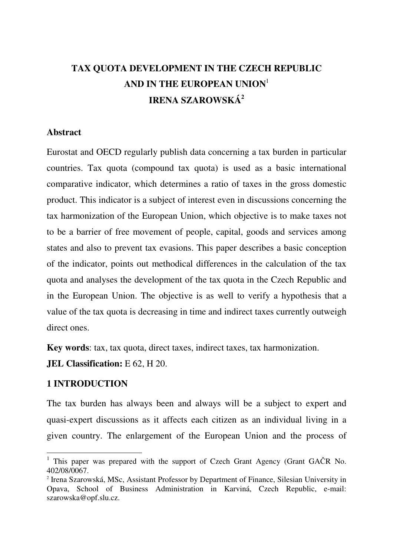## **TAX QUOTA DEVELOPMENT IN THE CZECH REPUBLIC AND IN THE EUROPEAN UNION**<sup>1</sup> **IRENA SZAROWSKÁ<sup>2</sup>**

#### **Abstract**

Eurostat and OECD regularly publish data concerning a tax burden in particular countries. Tax quota (compound tax quota) is used as a basic international comparative indicator, which determines a ratio of taxes in the gross domestic product. This indicator is a subject of interest even in discussions concerning the tax harmonization of the European Union, which objective is to make taxes not to be a barrier of free movement of people, capital, goods and services among states and also to prevent tax evasions. This paper describes a basic conception of the indicator, points out methodical differences in the calculation of the tax quota and analyses the development of the tax quota in the Czech Republic and in the European Union. The objective is as well to verify a hypothesis that a value of the tax quota is decreasing in time and indirect taxes currently outweigh direct ones.

**Key words**: tax, tax quota, direct taxes, indirect taxes, tax harmonization.

**JEL Classification:** E 62, H 20.

## **1 INTRODUCTION**

 $\overline{a}$ 

The tax burden has always been and always will be a subject to expert and quasi-expert discussions as it affects each citizen as an individual living in a given country. The enlargement of the European Union and the process of

<sup>&</sup>lt;sup>1</sup> This paper was prepared with the support of Czech Grant Agency (Grant GAČR No. 402/08/0067.

<sup>2</sup> Irena Szarowská, MSc, Assistant Professor by Department of Finance, Silesian University in Opava, School of Business Administration in Karviná, Czech Republic, e-mail: szarowska@opf.slu.cz.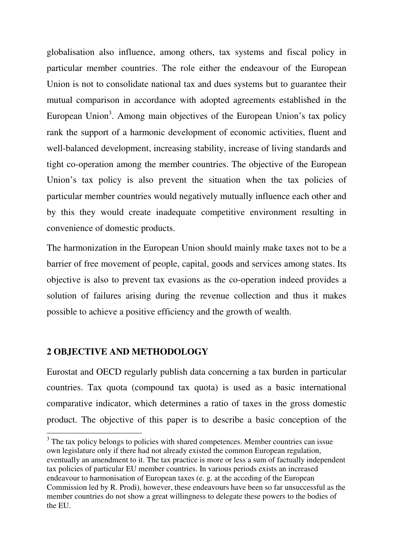globalisation also influence, among others, tax systems and fiscal policy in particular member countries. The role either the endeavour of the European Union is not to consolidate national tax and dues systems but to guarantee their mutual comparison in accordance with adopted agreements established in the European Union<sup>3</sup>. Among main objectives of the European Union's tax policy rank the support of a harmonic development of economic activities, fluent and well-balanced development, increasing stability, increase of living standards and tight co-operation among the member countries. The objective of the European Union's tax policy is also prevent the situation when the tax policies of particular member countries would negatively mutually influence each other and by this they would create inadequate competitive environment resulting in convenience of domestic products.

The harmonization in the European Union should mainly make taxes not to be a barrier of free movement of people, capital, goods and services among states. Its objective is also to prevent tax evasions as the co-operation indeed provides a solution of failures arising during the revenue collection and thus it makes possible to achieve a positive efficiency and the growth of wealth.

## **2 OBJECTIVE AND METHODOLOGY**

 $\overline{a}$ 

Eurostat and OECD regularly publish data concerning a tax burden in particular countries. Tax quota (compound tax quota) is used as a basic international comparative indicator, which determines a ratio of taxes in the gross domestic product. The objective of this paper is to describe a basic conception of the

 $3$  The tax policy belongs to policies with shared competences. Member countries can issue own legislature only if there had not already existed the common European regulation, eventually an amendment to it. The tax practice is more or less a sum of factually independent tax policies of particular EU member countries. In various periods exists an increased endeavour to harmonisation of European taxes (e. g. at the acceding of the European Commission led by R. Prodi), however, these endeavours have been so far unsuccessful as the member countries do not show a great willingness to delegate these powers to the bodies of the EU.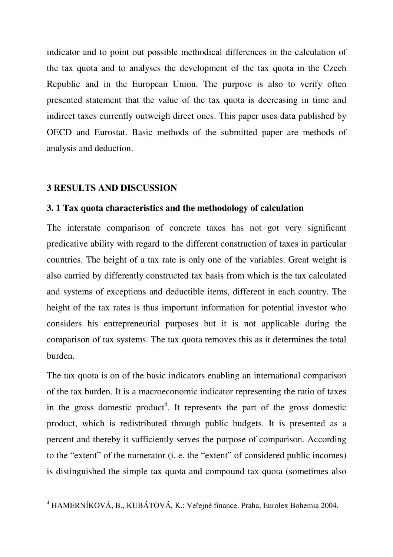indicator and to point out possible methodical differences in the calculation of the tax quota and to analyses the development of the tax quota in the Czech Republic and in the European Union. The purpose is also to verify often presented statement that the value of the tax quota is decreasing in time and indirect taxes currently outweigh direct ones. This paper uses data published by OECD and Eurostat. Basic methods of the submitted paper are methods of analysis and deduction.

## **3 RESULTS AND DISCUSSION**

#### **3. 1 Tax quota characteristics and the methodology of calculation**

The interstate comparison of concrete taxes has not got very significant predicative ability with regard to the different construction of taxes in particular countries. The height of a tax rate is only one of the variables. Great weight is also carried by differently constructed tax basis from which is the tax calculated and systems of exceptions and deductible items, different in each country. The height of the tax rates is thus important information for potential investor who considers his entrepreneurial purposes but it is not applicable during the comparison of tax systems. The tax quota removes this as it determines the total burden.

The tax quota is on of the basic indicators enabling an international comparison of the tax burden. It is a macroeconomic indicator representing the ratio of taxes in the gross domestic product<sup>4</sup>. It represents the part of the gross domestic product, which is redistributed through public budgets. It is presented as a percent and thereby it sufficiently serves the purpose of comparison. According to the "extent" of the numerator (i. e. the "extent" of considered public incomes) is distinguished the simple tax quota and compound tax quota (sometimes also

 4 HAMERNÍKOVÁ, B., KUBÁTOVÁ, K.: Veřejné finance. Praha, Eurolex Bohemia 2004.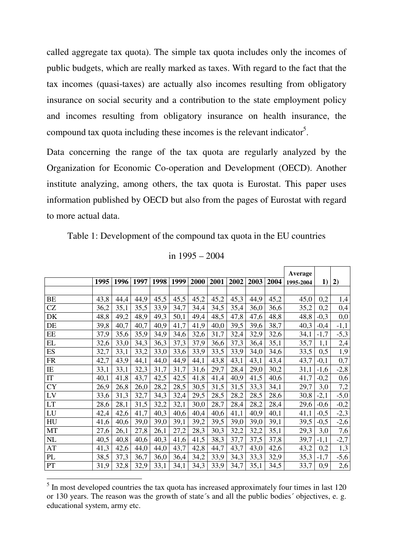called aggregate tax quota). The simple tax quota includes only the incomes of public budgets, which are really marked as taxes. With regard to the fact that the tax incomes (quasi-taxes) are actually also incomes resulting from obligatory insurance on social security and a contribution to the state employment policy and incomes resulting from obligatory insurance on health insurance, the compound tax quota including these incomes is the relevant indicator<sup>5</sup>.

Data concerning the range of the tax quota are regularly analyzed by the Organization for Economic Co-operation and Development (OECD). Another institute analyzing, among others, the tax quota is Eurostat. This paper uses information published by OECD but also from the pages of Eurostat with regard to more actual data.

Table 1: Development of the compound tax quota in the EU countries

|  | in 1995 – 2004 |
|--|----------------|
|  |                |

|                            |      |      |      |      |      |      |      |      |      |      | Average   |        |        |
|----------------------------|------|------|------|------|------|------|------|------|------|------|-----------|--------|--------|
|                            | 1995 | 1996 | 1997 | 1998 | 1999 | 2000 | 2001 | 2002 | 2003 | 2004 | 1995-2004 | 1)     | 2)     |
|                            |      |      |      |      |      |      |      |      |      |      |           |        |        |
| <b>BE</b>                  | 43,8 | 44,4 | 44,9 | 45,5 | 45,5 | 45,2 | 45,2 | 45,3 | 44,9 | 45,2 | 45,0      | 0,2    | 1,4    |
| <b>CZ</b>                  | 36,2 | 35,1 | 35,5 | 33,9 | 34,7 | 34,4 | 34,5 | 35,4 | 36,0 | 36,6 | 35,2      | 0,2    | 0,4    |
| DK                         | 48,8 | 49,2 | 48,9 | 49,3 | 50,1 | 49,4 | 48,5 | 47,8 | 47,6 | 48,8 | 48,8      | $-0,3$ | 0,0    |
| DE                         | 39,8 | 40,7 | 40,7 | 40,9 | 41,7 | 41,9 | 40,0 | 39,5 | 39,6 | 38,7 | 40,3      | $-0,4$ | $-1,1$ |
| EE                         | 37,9 | 35,6 | 35,9 | 34,9 | 34,6 | 32,6 | 31,7 | 32,4 | 32,9 | 32,6 | 34,1      | $-1,7$ | $-5,3$ |
| EL                         | 32,6 | 33,0 | 34,3 | 36,3 | 37,3 | 37,9 | 36,6 | 37,3 | 36,4 | 35,1 | 35,7      | 1,1    | 2,4    |
| ES                         | 32,7 | 33,1 | 33,2 | 33,0 | 33,6 | 33,9 | 33,5 | 33,9 | 34,0 | 34,6 | 33,5      | 0,5    | 1,9    |
| <b>FR</b>                  | 42,7 | 43,9 | 44,1 | 44,0 | 44,9 | 44,1 | 43,8 | 43,1 | 43,1 | 43,4 | 43,7      | $-0,1$ | 0,7    |
| $\rm IE$                   | 33,1 | 33,1 | 32,3 | 31,7 | 31,7 | 31,6 | 29,7 | 28,4 | 29,0 | 30,2 | 31,1      | $-1,6$ | $-2,8$ |
| $\ensuremath{\mathsf{IT}}$ | 40,1 | 41,8 | 43,7 | 42,5 | 42,5 | 41,8 | 41,4 | 40,9 | 41,5 | 40,6 | 41,7      | $-0,2$ | 0,6    |
| <b>CY</b>                  | 26,9 | 26,8 | 26,0 | 28,2 | 28,5 | 30,5 | 31,5 | 31,5 | 33,3 | 34,1 | 29,7      | 3,0    | 7,2    |
| LV                         | 33,6 | 31,3 | 32,7 | 34,3 | 32,4 | 29,5 | 28,5 | 28,2 | 28,5 | 28,6 | 30,8      | $-2,1$ | $-5,0$ |
| <b>LT</b>                  | 28,6 | 28,1 | 31,5 | 32,2 | 32,1 | 30,0 | 28,7 | 28,4 | 28,2 | 28,4 | 29,6      | $-0,6$ | $-0,2$ |
| LU                         | 42,4 | 42,6 | 41,7 | 40,3 | 40,6 | 40,4 | 40,6 | 41,1 | 40,9 | 40,1 | 41,1      | $-0,5$ | $-2,3$ |
| HU                         | 41,6 | 40,6 | 39,0 | 39,0 | 39,1 | 39,2 | 39,5 | 39,0 | 39,0 | 39,1 | 39,5      | $-0,5$ | $-2,6$ |
| MT                         | 27,6 | 26,1 | 27,8 | 26,1 | 27,2 | 28,3 | 30,3 | 32,2 | 32,2 | 35,1 | 29,3      | 3,0    | 7,6    |
| NL                         | 40,5 | 40,8 | 40,6 | 40,3 | 41,6 | 41,5 | 38,3 | 37,7 | 37,5 | 37,8 | 39,7      | $-1,1$ | $-2,7$ |
| AT                         | 41,3 | 42,6 | 44,0 | 44,0 | 43,7 | 42,8 | 44,7 | 43,7 | 43,0 | 42,6 | 43,2      | 0,2    | 1,3    |
| PL                         | 38,5 | 37,3 | 36,7 | 36,0 | 36,4 | 34,2 | 33,9 | 34,3 | 33,3 | 32,9 | 35,3      | $-1,7$ | $-5,6$ |
| PT                         | 31,9 | 32,8 | 32,9 | 33,1 | 34,1 | 34,3 | 33,9 | 34,7 | 35,1 | 34,5 | 33,7      | 0,9    | 2,6    |

<sup>&</sup>lt;sup>5</sup> In most developed countries the tax quota has increased approximately four times in last 120 or 130 years. The reason was the growth of state´s and all the public bodies´ objectives, e. g. educational system, army etc.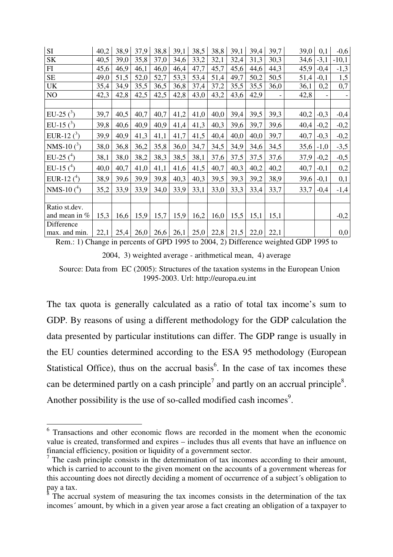| <b>SI</b>        | 40,2 | 38,9 | 37,9 | 38,8 | 39,1 | 38,5 | 38,8 | 39,1 | 39,4 | 39,7 | 39,0 | 0,1    | $-0,6$                   |
|------------------|------|------|------|------|------|------|------|------|------|------|------|--------|--------------------------|
| <b>SK</b>        | 40,5 | 39,0 | 35,8 | 37,0 | 34,6 | 33,2 | 32,1 | 32,4 | 31,3 | 30,3 | 34,6 | $-3,1$ | $-10,1$                  |
| FI               | 45,6 | 46,9 | 46,1 | 46,0 | 46,4 | 47,7 | 45,7 | 45,6 | 44,6 | 44,3 | 45,9 | $-0,4$ | $-1,3$                   |
| <b>SE</b>        | 49,0 | 51,5 | 52,0 | 52,7 | 53,3 | 53,4 | 51,4 | 49,7 | 50,2 | 50,5 | 51,4 | $-0,1$ | 1,5                      |
| UK               | 35,4 | 34,9 | 35,5 | 36,5 | 36,8 | 37,4 | 37,2 | 35,5 | 35,5 | 36,0 | 36,1 | 0,2    | 0,7                      |
| NO               | 42,3 | 42,8 | 42,5 | 42,5 | 42,8 | 43,0 | 43,2 | 43,6 | 42,9 |      | 42,8 |        | $\overline{\phantom{a}}$ |
|                  |      |      |      |      |      |      |      |      |      |      |      |        |                          |
| EU-25 $(3)$      | 39,7 | 40,5 | 40,7 | 40,7 | 41,2 | 41,0 | 40,0 | 39,4 | 39,5 | 39,3 | 40,2 | $-0,3$ | $-0,4$                   |
| EU-15 $(3)$      | 39,8 | 40,6 | 40,9 | 40,9 | 41,4 | 41,3 | 40,3 | 39,6 | 39,7 | 39,6 | 40,4 | $-0,2$ | $-0,2$                   |
| EUR-12 $(^{3})$  | 39,9 | 40,9 | 41,3 | 41,1 | 41,7 | 41,5 | 40,4 | 40,0 | 40,0 | 39,7 | 40,7 | $-0,3$ | $-0,2$                   |
| NMS-10 $(3)$     | 38,0 | 36,8 | 36,2 | 35,8 | 36,0 | 34,7 | 34,5 | 34,9 | 34,6 | 34,5 | 35,6 | $-1,0$ | $-3,5$                   |
| EU-25 $(^4)$     | 38,1 | 38,0 | 38,2 | 38,3 | 38,5 | 38,1 | 37,6 | 37,5 | 37,5 | 37,6 | 37,9 | $-0,2$ | $-0,5$                   |
| EU-15 $(^{4})$   | 40,0 | 40,7 | 41,0 | 41,1 | 41,6 | 41,5 | 40,7 | 40,3 | 40,2 | 40,2 | 40,7 | $-0,1$ | 0,2                      |
| EUR-12 $(4)$     | 38,9 | 39,6 | 39,9 | 39,8 | 40,3 | 40,3 | 39,5 | 39,3 | 39,2 | 38,9 | 39,6 | $-0,1$ | 0,1                      |
| NMS-10 $(4)$     | 35,2 | 33,9 | 33,9 | 34,0 | 33,9 | 33,1 | 33,0 | 33,3 | 33,4 | 33,7 | 33,7 | $-0,4$ | $-1,4$                   |
|                  |      |      |      |      |      |      |      |      |      |      |      |        |                          |
| Ratio st.dev.    |      |      |      |      |      |      |      |      |      |      |      |        |                          |
| and mean in $\%$ | 15,3 | 16,6 | 15,9 | 15,7 | 15,9 | 16,2 | 16,0 | 15,5 | 15,1 | 15,1 |      |        | $-0,2$                   |
| Difference       |      |      |      |      |      |      |      |      |      |      |      |        |                          |
| max. and min.    | 22,1 | 25,4 | 26,0 | 26,6 | 26,1 | 25,0 | 22,8 | 21,5 | 22,0 | 22,1 |      |        | 0,0                      |

Rem.: 1) Change in percents of GPD 1995 to 2004, 2) Difference weighted GDP 1995 to 2004, 3) weighted average - arithmetical mean, 4) average Source: Data from EC (2005): Structures of the taxation systems in the European Union 1995-2003. Url: http://europa.eu.int

The tax quota is generally calculated as a ratio of total tax income's sum to GDP. By reasons of using a different methodology for the GDP calculation the data presented by particular institutions can differ. The GDP range is usually in the EU counties determined according to the ESA 95 methodology (European Statistical Office), thus on the accrual basis<sup>6</sup>. In the case of tax incomes these can be determined partly on a cash principle<sup>7</sup> and partly on an accrual principle<sup>8</sup>. Another possibility is the use of so-called modified cash incomes<sup>9</sup>.

 $\overline{a}$ 

<sup>&</sup>lt;sup>6</sup> Transactions and other economic flows are recorded in the moment when the economic value is created, transformed and expires – includes thus all events that have an influence on financial efficiency, position or liquidity of a government sector.

<sup>&</sup>lt;sup>7</sup> The cash principle consists in the determination of tax incomes according to their amount, which is carried to account to the given moment on the accounts of a government whereas for this accounting does not directly deciding a moment of occurrence of a subject´s obligation to pay a tax.

 $\delta$  The accrual system of measuring the tax incomes consists in the determination of the tax incomes´ amount, by which in a given year arose a fact creating an obligation of a taxpayer to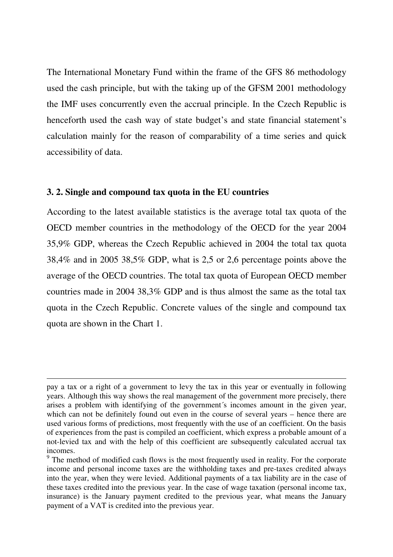The International Monetary Fund within the frame of the GFS 86 methodology used the cash principle, but with the taking up of the GFSM 2001 methodology the IMF uses concurrently even the accrual principle. In the Czech Republic is henceforth used the cash way of state budget's and state financial statement's calculation mainly for the reason of comparability of a time series and quick accessibility of data.

#### **3. 2. Single and compound tax quota in the EU countries**

1

According to the latest available statistics is the average total tax quota of the OECD member countries in the methodology of the OECD for the year 2004 35,9% GDP, whereas the Czech Republic achieved in 2004 the total tax quota 38,4% and in 2005 38,5% GDP, what is 2,5 or 2,6 percentage points above the average of the OECD countries. The total tax quota of European OECD member countries made in 2004 38,3% GDP and is thus almost the same as the total tax quota in the Czech Republic. Concrete values of the single and compound tax quota are shown in the Chart 1.

pay a tax or a right of a government to levy the tax in this year or eventually in following years. Although this way shows the real management of the government more precisely, there arises a problem with identifying of the government´s incomes amount in the given year, which can not be definitely found out even in the course of several years – hence there are used various forms of predictions, most frequently with the use of an coefficient. On the basis of experiences from the past is compiled an coefficient, which express a probable amount of a not-levied tax and with the help of this coefficient are subsequently calculated accrual tax incomes.

 $9<sup>9</sup>$  The method of modified cash flows is the most frequently used in reality. For the corporate income and personal income taxes are the withholding taxes and pre-taxes credited always into the year, when they were levied. Additional payments of a tax liability are in the case of these taxes credited into the previous year. In the case of wage taxation (personal income tax, insurance) is the January payment credited to the previous year, what means the January payment of a VAT is credited into the previous year.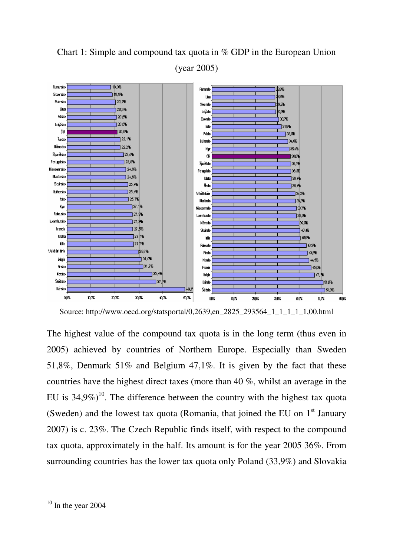# Chart 1: Simple and compound tax quota in % GDP in the European Union (year 2005)



Source: http://www.oecd.org/statsportal/0,2639,en\_2825\_293564\_1\_1\_1\_1\_1,00.html

The highest value of the compound tax quota is in the long term (thus even in 2005) achieved by countries of Northern Europe. Especially than Sweden 51,8%, Denmark 51% and Belgium 47,1%. It is given by the fact that these countries have the highest direct taxes (more than 40 %, whilst an average in the EU is  $34.9\%$ <sup>10</sup>. The difference between the country with the highest tax quota (Sweden) and the lowest tax quota (Romania, that joined the EU on  $1<sup>st</sup>$  January 2007) is c. 23%. The Czech Republic finds itself, with respect to the compound tax quota, approximately in the half. Its amount is for the year 2005 36%. From surrounding countries has the lower tax quota only Poland (33,9%) and Slovakia

 $\overline{a}$ 

 $10$  In the year 2004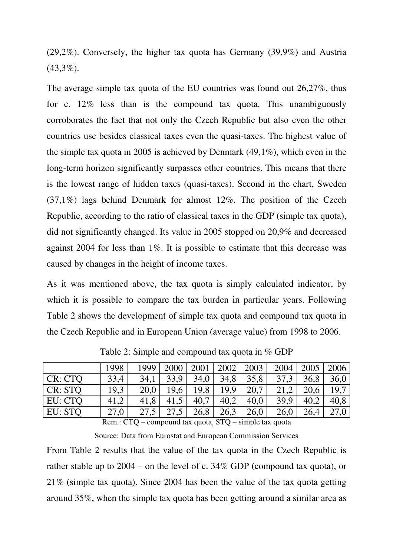(29,2%). Conversely, the higher tax quota has Germany (39,9%) and Austria  $(43,3\%)$ .

The average simple tax quota of the EU countries was found out 26,27%, thus for c. 12% less than is the compound tax quota. This unambiguously corroborates the fact that not only the Czech Republic but also even the other countries use besides classical taxes even the quasi-taxes. The highest value of the simple tax quota in 2005 is achieved by Denmark (49,1%), which even in the long-term horizon significantly surpasses other countries. This means that there is the lowest range of hidden taxes (quasi-taxes). Second in the chart, Sweden (37,1%) lags behind Denmark for almost 12%. The position of the Czech Republic, according to the ratio of classical taxes in the GDP (simple tax quota), did not significantly changed. Its value in 2005 stopped on 20,9% and decreased against 2004 for less than 1%. It is possible to estimate that this decrease was caused by changes in the height of income taxes.

As it was mentioned above, the tax quota is simply calculated indicator, by which it is possible to compare the tax burden in particular years. Following Table 2 shows the development of simple tax quota and compound tax quota in the Czech Republic and in European Union (average value) from 1998 to 2006.

|         | 1998 | 1999 | 2000 | 2001 | 2002 | 2003 | 2004 | 2005 | 2006 |
|---------|------|------|------|------|------|------|------|------|------|
| CR: CTQ | 33,4 | 34,1 | 33.9 | 34,0 | 34,8 | 35,8 | 37,3 | 36,8 | 36,0 |
| CR: STQ | 19,3 | 20,0 | 19.6 | 19,8 | 19,9 | 20,7 | 21,2 | 20,6 | 19,7 |
| EU: CTQ | 41,2 | 41,8 | 41,5 | 40.7 | 40,2 | 40,0 | 39,9 | 40,2 | 40,8 |
| EU: STO | 27,0 | 27,5 |      | 26,8 | 26,3 | 26,0 | 26,0 | 26,4 |      |
|         |      |      |      |      |      |      |      |      |      |

Table 2: Simple and compound tax quota in % GDP

Rem.: CTQ – compound tax quota, STQ – simple tax quota

Source: Data from Eurostat and European Commission Services

From Table 2 results that the value of the tax quota in the Czech Republic is rather stable up to 2004 – on the level of c. 34% GDP (compound tax quota), or 21% (simple tax quota). Since 2004 has been the value of the tax quota getting around 35%, when the simple tax quota has been getting around a similar area as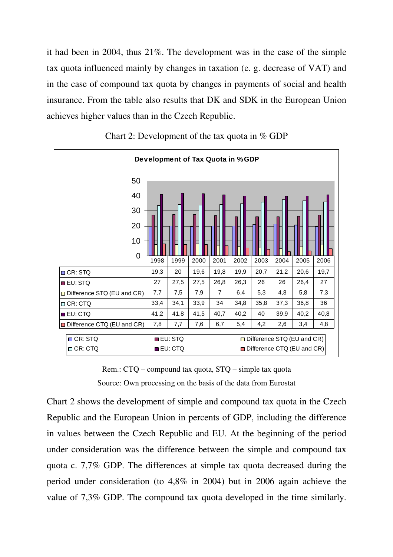it had been in 2004, thus 21%. The development was in the case of the simple tax quota influenced mainly by changes in taxation (e. g. decrease of VAT) and in the case of compound tax quota by changes in payments of social and health insurance. From the table also results that DK and SDK in the European Union achieves higher values than in the Czech Republic.



Chart 2: Development of the tax quota in % GDP

Rem.: CTQ – compound tax quota, STQ – simple tax quota Source: Own processing on the basis of the data from Eurostat

Chart 2 shows the development of simple and compound tax quota in the Czech Republic and the European Union in percents of GDP, including the difference in values between the Czech Republic and EU. At the beginning of the period under consideration was the difference between the simple and compound tax quota c. 7,7% GDP. The differences at simple tax quota decreased during the period under consideration (to 4,8% in 2004) but in 2006 again achieve the value of 7,3% GDP. The compound tax quota developed in the time similarly.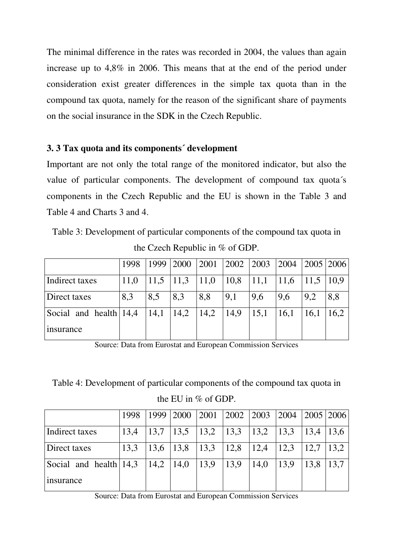The minimal difference in the rates was recorded in 2004, the values than again increase up to 4,8% in 2006. This means that at the end of the period under consideration exist greater differences in the simple tax quota than in the compound tax quota, namely for the reason of the significant share of payments on the social insurance in the SDK in the Czech Republic.

## **3. 3 Tax quota and its components´ development**

Important are not only the total range of the monitored indicator, but also the value of particular components. The development of compound tax quota´s components in the Czech Republic and the EU is shown in the Table 3 and Table 4 and Charts 3 and 4.

Table 3: Development of particular components of the compound tax quota in

|                          | 1998 | 1999   2000     |      | 2001 | 2002 2003 |      | $\vert 2004 \vert$ | 2005 2006 |      |
|--------------------------|------|-----------------|------|------|-----------|------|--------------------|-----------|------|
| Indirect taxes           | 11,0 | $ 11,5 \t 11,3$ |      | 11,0 | 10,8      | 11,1 | 11,6               | 11,5      | 10.9 |
| Direct taxes             | 8,3  | 8,5             | 8,3  | 8,8  | 9,1       | 9,6  | 9,6                | 9.2       | 8,8  |
| Social and health $14,4$ |      | 14,1            | 14,2 | 14,2 | 14,9      | 15,1 | 16,1               | 16,1      | 16,2 |
| insurance                |      |                 |      |      |           |      |                    |           |      |

Source: Data from Eurostat and European Commission Services

Table 4: Development of particular components of the compound tax quota in the EU in % of GDP.

|                                               | 1998 |  | 1999   2000   2001   2002   2003   2004   2005   2006                     |      |                               |                |                               |      |
|-----------------------------------------------|------|--|---------------------------------------------------------------------------|------|-------------------------------|----------------|-------------------------------|------|
| Indirect taxes                                | 13.4 |  | $\vert 13.7 \vert 13.5 \vert 13.2 \vert 13.3 \vert 13.2 \vert 13.3 \vert$ |      |                               |                | $\vert 13.4 \vert 13.6 \vert$ |      |
| Direct taxes                                  |      |  | $13,3$   $13,6$   $13,8$   $13,3$   $12,8$                                |      | $\vert 12,4 \vert 12,3 \vert$ |                | 12.7                          | 13.2 |
| Social and health $14,3$ $14,2$ $14,0$ $13,9$ |      |  |                                                                           | 13,9 | 14,0                          | $ 13,9\rangle$ | 13.8                          | 13.7 |
| <i>nsurance</i>                               |      |  |                                                                           |      |                               |                |                               |      |

Source: Data from Eurostat and European Commission Services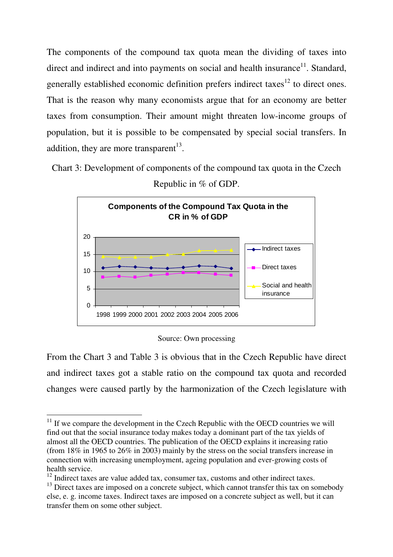The components of the compound tax quota mean the dividing of taxes into direct and indirect and into payments on social and health insurance<sup>11</sup>. Standard, generally established economic definition prefers indirect taxes<sup>12</sup> to direct ones. That is the reason why many economists argue that for an economy are better taxes from consumption. Their amount might threaten low-income groups of population, but it is possible to be compensated by special social transfers. In addition, they are more transparent<sup>13</sup>.

Chart 3: Development of components of the compound tax quota in the Czech



Republic in % of GDP.

Source: Own processing

From the Chart 3 and Table 3 is obvious that in the Czech Republic have direct and indirect taxes got a stable ratio on the compound tax quota and recorded changes were caused partly by the harmonization of the Czech legislature with

 $\overline{a}$  $11$  If we compare the development in the Czech Republic with the OECD countries we will find out that the social insurance today makes today a dominant part of the tax yields of almost all the OECD countries. The publication of the OECD explains it increasing ratio (from 18% in 1965 to 26% in 2003) mainly by the stress on the social transfers increase in connection with increasing unemployment, ageing population and ever-growing costs of health service.

 $12$  Indirect taxes are value added tax, consumer tax, customs and other indirect taxes.

 $13$  Direct taxes are imposed on a concrete subject, which cannot transfer this tax on somebody else, e. g. income taxes. Indirect taxes are imposed on a concrete subject as well, but it can transfer them on some other subject.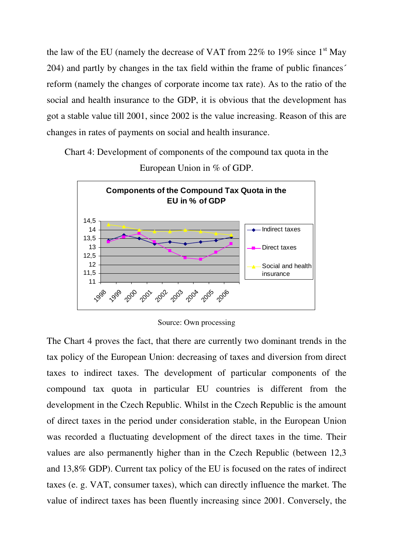the law of the EU (namely the decrease of VAT from  $22\%$  to  $19\%$  since 1<sup>st</sup> May 204) and partly by changes in the tax field within the frame of public finances´ reform (namely the changes of corporate income tax rate). As to the ratio of the social and health insurance to the GDP, it is obvious that the development has got a stable value till 2001, since 2002 is the value increasing. Reason of this are changes in rates of payments on social and health insurance.

Chart 4: Development of components of the compound tax quota in the European Union in % of GDP.



Source: Own processing

The Chart 4 proves the fact, that there are currently two dominant trends in the tax policy of the European Union: decreasing of taxes and diversion from direct taxes to indirect taxes. The development of particular components of the compound tax quota in particular EU countries is different from the development in the Czech Republic. Whilst in the Czech Republic is the amount of direct taxes in the period under consideration stable, in the European Union was recorded a fluctuating development of the direct taxes in the time. Their values are also permanently higher than in the Czech Republic (between 12,3 and 13,8% GDP). Current tax policy of the EU is focused on the rates of indirect taxes (e. g. VAT, consumer taxes), which can directly influence the market. The value of indirect taxes has been fluently increasing since 2001. Conversely, the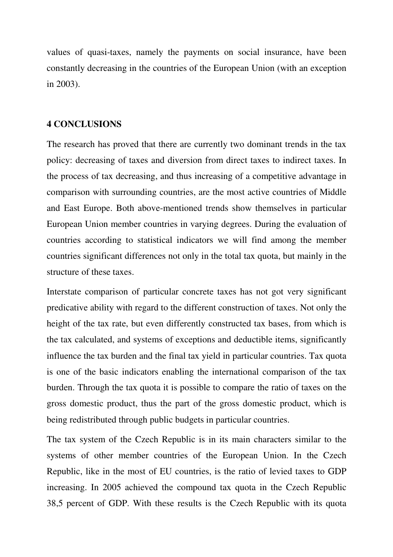values of quasi-taxes, namely the payments on social insurance, have been constantly decreasing in the countries of the European Union (with an exception in 2003).

#### **4 CONCLUSIONS**

The research has proved that there are currently two dominant trends in the tax policy: decreasing of taxes and diversion from direct taxes to indirect taxes. In the process of tax decreasing, and thus increasing of a competitive advantage in comparison with surrounding countries, are the most active countries of Middle and East Europe. Both above-mentioned trends show themselves in particular European Union member countries in varying degrees. During the evaluation of countries according to statistical indicators we will find among the member countries significant differences not only in the total tax quota, but mainly in the structure of these taxes.

Interstate comparison of particular concrete taxes has not got very significant predicative ability with regard to the different construction of taxes. Not only the height of the tax rate, but even differently constructed tax bases, from which is the tax calculated, and systems of exceptions and deductible items, significantly influence the tax burden and the final tax yield in particular countries. Tax quota is one of the basic indicators enabling the international comparison of the tax burden. Through the tax quota it is possible to compare the ratio of taxes on the gross domestic product, thus the part of the gross domestic product, which is being redistributed through public budgets in particular countries.

The tax system of the Czech Republic is in its main characters similar to the systems of other member countries of the European Union. In the Czech Republic, like in the most of EU countries, is the ratio of levied taxes to GDP increasing. In 2005 achieved the compound tax quota in the Czech Republic 38,5 percent of GDP. With these results is the Czech Republic with its quota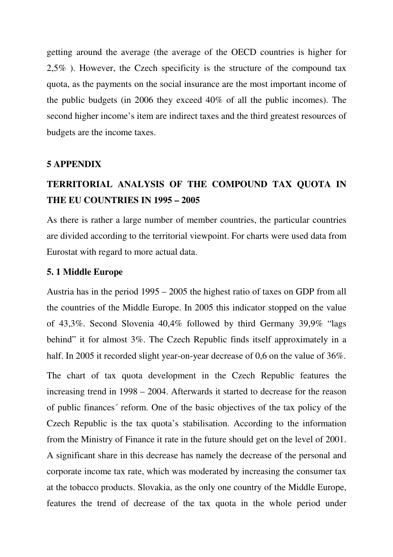getting around the average (the average of the OECD countries is higher for 2,5% ). However, the Czech specificity is the structure of the compound tax quota, as the payments on the social insurance are the most important income of the public budgets (in 2006 they exceed 40% of all the public incomes). The second higher income's item are indirect taxes and the third greatest resources of budgets are the income taxes.

#### **5 APPENDIX**

## **TERRITORIAL ANALYSIS OF THE COMPOUND TAX QUOTA IN THE EU COUNTRIES IN 1995 – 2005**

As there is rather a large number of member countries, the particular countries are divided according to the territorial viewpoint. For charts were used data from Eurostat with regard to more actual data.

#### **5. 1 Middle Europe**

Austria has in the period 1995 – 2005 the highest ratio of taxes on GDP from all the countries of the Middle Europe. In 2005 this indicator stopped on the value of 43,3%. Second Slovenia 40,4% followed by third Germany 39,9% "lags behind" it for almost 3%. The Czech Republic finds itself approximately in a half. In 2005 it recorded slight year-on-year decrease of 0,6 on the value of 36%.

The chart of tax quota development in the Czech Republic features the increasing trend in 1998 – 2004. Afterwards it started to decrease for the reason of public finances´ reform. One of the basic objectives of the tax policy of the Czech Republic is the tax quota's stabilisation. According to the information from the Ministry of Finance it rate in the future should get on the level of 2001. A significant share in this decrease has namely the decrease of the personal and corporate income tax rate, which was moderated by increasing the consumer tax at the tobacco products. Slovakia, as the only one country of the Middle Europe, features the trend of decrease of the tax quota in the whole period under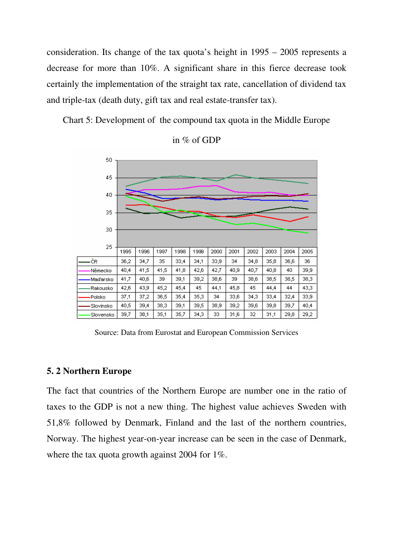consideration. Its change of the tax quota's height in 1995 – 2005 represents a decrease for more than 10%. A significant share in this fierce decrease took certainly the implementation of the straight tax rate, cancellation of dividend tax and triple-tax (death duty, gift tax and real estate-transfer tax).

Chart 5: Development of the compound tax quota in the Middle Europe



in % of GDP

Source: Data from Eurostat and European Commission Services

#### **5. 2 Northern Europe**

The fact that countries of the Northern Europe are number one in the ratio of taxes to the GDP is not a new thing. The highest value achieves Sweden with 51,8% followed by Denmark, Finland and the last of the northern countries, Norway. The highest year-on-year increase can be seen in the case of Denmark, where the tax quota growth against 2004 for 1%.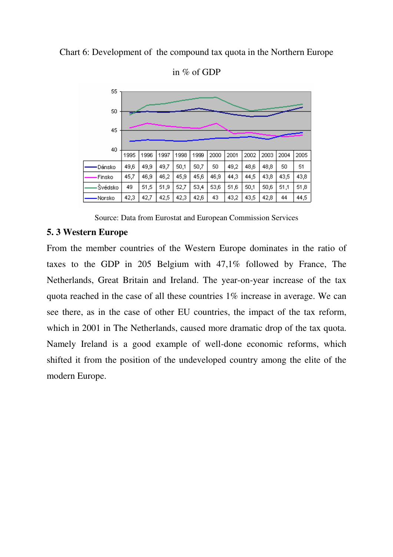#### Chart 6: Development of the compound tax quota in the Northern Europe



in % of GDP

Source: Data from Eurostat and European Commission Services

#### **5. 3 Western Europe**

From the member countries of the Western Europe dominates in the ratio of taxes to the GDP in 205 Belgium with 47,1% followed by France, The Netherlands, Great Britain and Ireland. The year-on-year increase of the tax quota reached in the case of all these countries 1% increase in average. We can see there, as in the case of other EU countries, the impact of the tax reform, which in 2001 in The Netherlands, caused more dramatic drop of the tax quota. Namely Ireland is a good example of well-done economic reforms, which shifted it from the position of the undeveloped country among the elite of the modern Europe.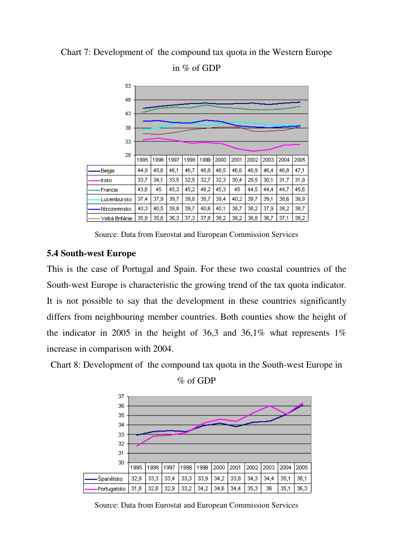### Chart 7: Development of the compound tax quota in the Western Europe



in % of GDP

Source: Data from Eurostat and European Commission Services

#### **5.4 South-west Europe**

This is the case of Portugal and Spain. For these two coastal countries of the South-west Europe is characteristic the growing trend of the tax quota indicator. It is not possible to say that the development in these countries significantly differs from neighbouring member countries. Both counties show the height of the indicator in 2005 in the height of 36,3 and 36,1% what represents  $1\%$ increase in comparison with 2004.

Chart 8: Development of the compound tax quota in the South-west Europe in





Source: Data from Eurostat and European Commission Services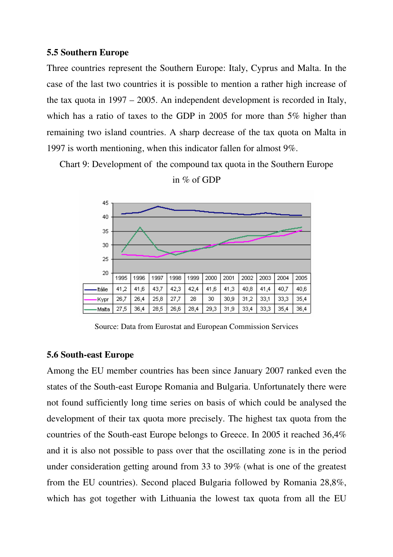#### **5.5 Southern Europe**

Three countries represent the Southern Europe: Italy, Cyprus and Malta. In the case of the last two countries it is possible to mention a rather high increase of the tax quota in 1997 – 2005. An independent development is recorded in Italy, which has a ratio of taxes to the GDP in 2005 for more than 5% higher than remaining two island countries. A sharp decrease of the tax quota on Malta in 1997 is worth mentioning, when this indicator fallen for almost 9%.

Chart 9: Development of the compound tax quota in the Southern Europe



in % of GDP

Source: Data from Eurostat and European Commission Services

## **5.6 South-east Europe**

Among the EU member countries has been since January 2007 ranked even the states of the South-east Europe Romania and Bulgaria. Unfortunately there were not found sufficiently long time series on basis of which could be analysed the development of their tax quota more precisely. The highest tax quota from the countries of the South-east Europe belongs to Greece. In 2005 it reached 36,4% and it is also not possible to pass over that the oscillating zone is in the period under consideration getting around from 33 to 39% (what is one of the greatest from the EU countries). Second placed Bulgaria followed by Romania 28,8%, which has got together with Lithuania the lowest tax quota from all the EU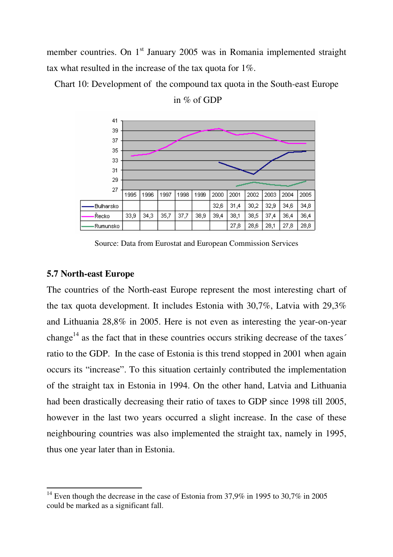member countries. On 1<sup>st</sup> January 2005 was in Romania implemented straight tax what resulted in the increase of the tax quota for 1%.

Chart 10: Development of the compound tax quota in the South-east Europe



in  $\%$  of GDP

Source: Data from Eurostat and European Commission Services

## **5.7 North-east Europe**

 $\overline{a}$ 

The countries of the North-east Europe represent the most interesting chart of the tax quota development. It includes Estonia with 30,7%, Latvia with 29,3% and Lithuania 28,8% in 2005. Here is not even as interesting the year-on-year change<sup>14</sup> as the fact that in these countries occurs striking decrease of the taxes<sup> $\check{\ }$ </sup> ratio to the GDP. In the case of Estonia is this trend stopped in 2001 when again occurs its "increase". To this situation certainly contributed the implementation of the straight tax in Estonia in 1994. On the other hand, Latvia and Lithuania had been drastically decreasing their ratio of taxes to GDP since 1998 till 2005, however in the last two years occurred a slight increase. In the case of these neighbouring countries was also implemented the straight tax, namely in 1995, thus one year later than in Estonia.

<sup>&</sup>lt;sup>14</sup> Even though the decrease in the case of Estonia from 37,9% in 1995 to 30,7% in 2005 could be marked as a significant fall.